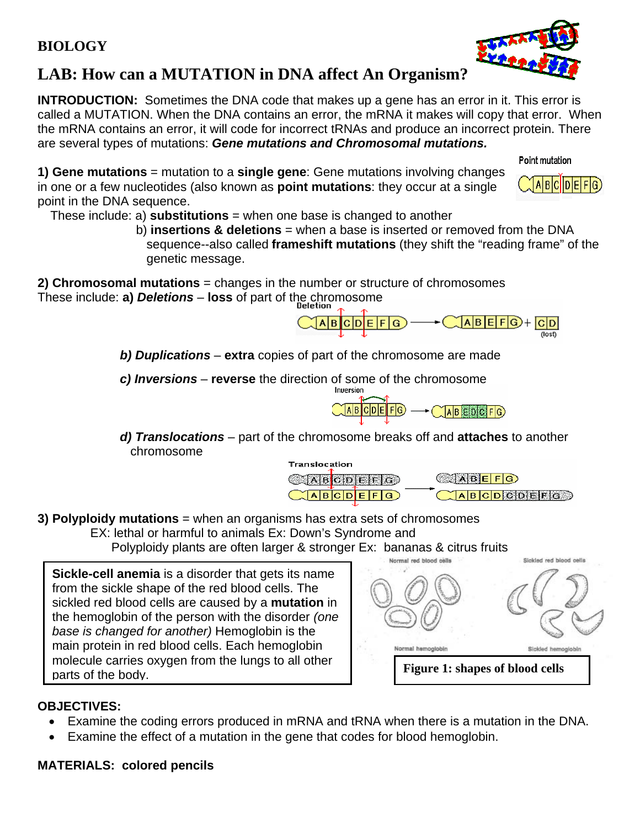# **LAB: How can a MUTATION in DNA affect An Organism?**

**INTRODUCTION:** Sometimes the DNA code that makes up a gene has an error in it. This error is called a MUTATION. When the DNA contains an error, the mRNA it makes will copy that error. When the mRNA contains an error, it will code for incorrect tRNAs and produce an incorrect protein. There are several types of mutations: *Gene mutations and Chromosomal mutations.* 

Point mutation

 $A|B|E|F|G|+|C|D|$ 

ABCDCDEEG

(lost)

 $A$ BCDEFG

**1) Gene mutations** = mutation to a **single gene**: Gene mutations involving changes in one or a few nucleotides (also known as **point mutations**: they occur at a single point in the DNA sequence.

These include: a) **substitutions** = when one base is changed to another

 b) **insertions & deletions** = when a base is inserted or removed from the DNA sequence--also called **frameshift mutations** (they shift the "reading frame" of the genetic message.

Icipie:

 $|F|G$ 

**2) Chromosomal mutations** = changes in the number or structure of chromosomes These include: **a)** *Deletions* – **loss** of part of the chromosome

 *b) Duplications* – **extra** copies of part of the chromosome are made

A|B|

 *c) Inversions* – **reverse** the direction of some of the chromosome



 *d) Translocations* – part of the chromosome breaks off and **attaches** to another chromosome Translocation

**CABCDEFIG** 

 $\sqrt{\mathsf{A}}$ BCDEFG



EX: lethal or harmful to animals Ex: Down's Syndrome and

Polyploidy plants are often larger & stronger Ex: bananas & citrus fruits

**Sickle-cell anemia** is a disorder that gets its name from the sickle shape of the red blood cells. The sickled red blood cells are caused by a **mutation** in the hemoglobin of the person with the disorder *(one base is changed for another)* Hemoglobin is the main protein in red blood cells. Each hemoglobin molecule carries oxygen from the lungs to all other parts of the body.



**ABEFG** 

### **OBJECTIVES:**

- Examine the coding errors produced in mRNA and tRNA when there is a mutation in the DNA.
- Examine the effect of a mutation in the gene that codes for blood hemoglobin.

#### **MATERIALS: colored pencils**

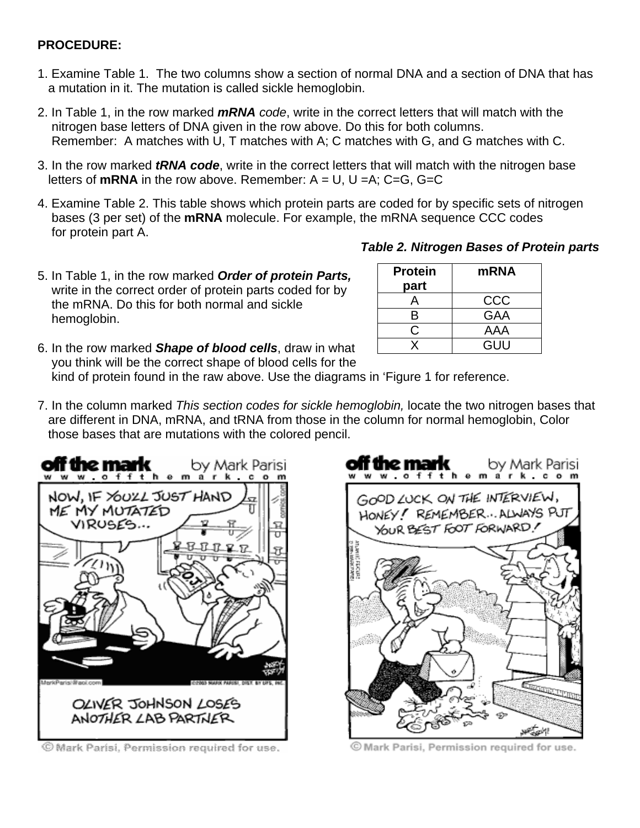#### **PROCEDURE:**

- 1. Examine Table 1. The two columns show a section of normal DNA and a section of DNA that has a mutation in it. The mutation is called sickle hemoglobin.
- 2. In Table 1, in the row marked *mRNA code*, write in the correct letters that will match with the nitrogen base letters of DNA given in the row above. Do this for both columns. Remember: A matches with U, T matches with A; C matches with G, and G matches with C.
- 3. In the row marked *tRNA code*, write in the correct letters that will match with the nitrogen base letters of **mRNA** in the row above. Remember:  $A = U$ ,  $U = A$ ;  $C = G$ ,  $G = C$
- 4. Examine Table 2. This table shows which protein parts are coded for by specific sets of nitrogen bases (3 per set) of the **mRNA** molecule. For example, the mRNA sequence CCC codes for protein part A.
- 5. In Table 1, in the row marked *Order of protein Parts,* write in the correct order of protein parts coded for by the mRNA. Do this for both normal and sickle hemoglobin.

| <b>Protein</b> | <b>mRNA</b> |
|----------------|-------------|
| part           |             |
| А              | CCC         |
| R              | <b>GAA</b>  |
|                | AAA         |
| x              | GUU         |

6. In the row marked *Shape of blood cells*, draw in what you think will be the correct shape of blood cells for the

kind of protein found in the raw above. Use the diagrams in 'Figure 1 for reference.

7. In the column marked *This section codes for sickle hemoglobin,* locate the two nitrogen bases that are different in DNA, mRNA, and tRNA from those in the column for normal hemoglobin, Color those bases that are mutations with the colored pencil.



© Mark Parisi, Permission required for use.



© Mark Parisi, Permission required for use.

#### *Table 2. Nitrogen Bases of Protein parts*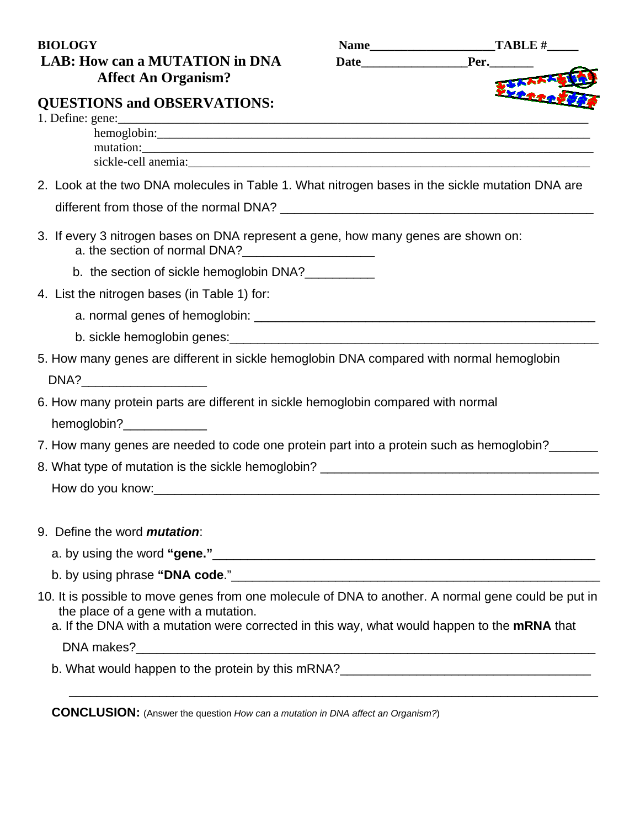## **BIOLOGY** Name TABLE # LAB: How can a MUTATION in DNA Date **Affect An Organism?**

| me | <b>TABI</b> |
|----|-------------|
| Δ  |             |

# **QUESTIONS and OBSERVATIONS:**

| mutation:                                                                                                                            |
|--------------------------------------------------------------------------------------------------------------------------------------|
|                                                                                                                                      |
| 2. Look at the two DNA molecules in Table 1. What nitrogen bases in the sickle mutation DNA are                                      |
|                                                                                                                                      |
| 3. If every 3 nitrogen bases on DNA represent a gene, how many genes are shown on:<br>a. the section of normal DNA?                  |
| b. the section of sickle hemoglobin DNA?                                                                                             |
| 4. List the nitrogen bases (in Table 1) for:                                                                                         |
|                                                                                                                                      |
|                                                                                                                                      |
| 5. How many genes are different in sickle hemoglobin DNA compared with normal hemoglobin                                             |
| DNA?                                                                                                                                 |
| 6. How many protein parts are different in sickle hemoglobin compared with normal                                                    |
| hemoglobin?_____________                                                                                                             |
| 7. How many genes are needed to code one protein part into a protein such as hemoglobin?                                             |
|                                                                                                                                      |
|                                                                                                                                      |
|                                                                                                                                      |
| 9. Define the word <i>mutation</i> :                                                                                                 |
|                                                                                                                                      |
|                                                                                                                                      |
| 10. It is possible to move genes from one molecule of DNA to another. A normal gene could be put in                                  |
| the place of a gene with a mutation.<br>a. If the DNA with a mutation were corrected in this way, what would happen to the mRNA that |
|                                                                                                                                      |
| b. What would happen to the protein by this mRNA?________________________________                                                    |
|                                                                                                                                      |

 **CONCLUSION:** (Answer the question *How can a mutation in DNA affect an Organism?*)